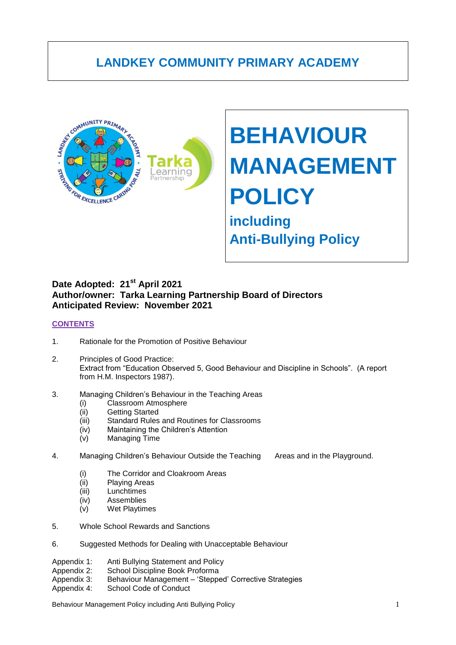# **LANDKEY COMMUNITY PRIMARY ACADEMY**



# **BEHAVIOUR MANAGEMENT POLICY**

# **including Anti-Bullying Policy**

#### Date Adopted: 21<sup>st</sup> April 2021 **Author/owner: Tarka Learning Partnership Board of Directors Anticipated Review: November 2021**

#### **CONTENTS**

- 1. Rationale for the Promotion of Positive Behaviour
- 2. Principles of Good Practice: Extract from "Education Observed 5, Good Behaviour and Discipline in Schools". (A report from H.M. Inspectors 1987).
- 3. Managing Children"s Behaviour in the Teaching Areas
	- (i) Classroom Atmosphere
	- (ii) Getting Started
	- (iii) Standard Rules and Routines for Classrooms
	- (iv) Maintaining the Children"s Attention
	- (v) Managing Time
- 4. Managing Children"s Behaviour Outside the Teaching Areas and in the Playground.
	- (i) The Corridor and Cloakroom Areas
	- (ii) Playing Areas
	- (iii) Lunchtimes
	- (iv) Assemblies
	- (v) Wet Playtimes
- 5. Whole School Rewards and Sanctions
- 6. Suggested Methods for Dealing with Unacceptable Behaviour
- Appendix 1: Anti Bullying Statement and Policy
- Appendix 2: School Discipline Book Proforma
- Appendix 3: Behaviour Management "Stepped" Corrective Strategies
- Appendix 4: School Code of Conduct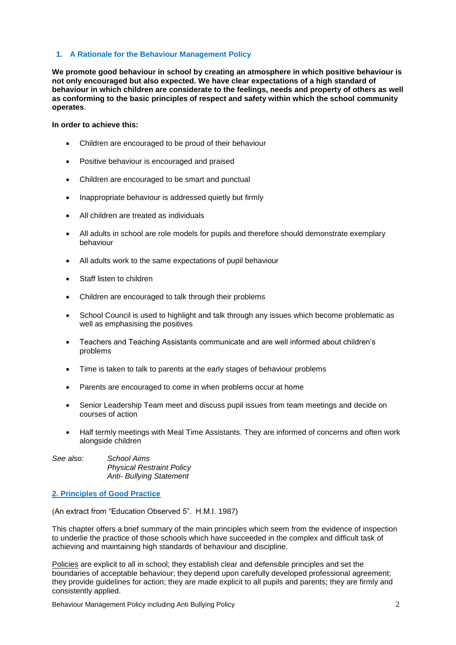#### **1. A Rationale for the Behaviour Management Policy**

**We promote good behaviour in school by creating an atmosphere in which positive behaviour is not only encouraged but also expected. We have clear expectations of a high standard of behaviour in which children are considerate to the feelings, needs and property of others as well as conforming to the basic principles of respect and safety within which the school community operates**.

#### **In order to achieve this:**

- Children are encouraged to be proud of their behaviour
- Positive behaviour is encouraged and praised
- Children are encouraged to be smart and punctual
- Inappropriate behaviour is addressed quietly but firmly
- All children are treated as individuals
- All adults in school are role models for pupils and therefore should demonstrate exemplary behaviour
- All adults work to the same expectations of pupil behaviour
- Staff listen to children
- Children are encouraged to talk through their problems
- School Council is used to highlight and talk through any issues which become problematic as well as emphasising the positives
- Teachers and Teaching Assistants communicate and are well informed about children"s problems
- Time is taken to talk to parents at the early stages of behaviour problems
- Parents are encouraged to come in when problems occur at home
- Senior Leadership Team meet and discuss pupil issues from team meetings and decide on courses of action
- Half termly meetings with Meal Time Assistants. They are informed of concerns and often work alongside children

| See also: | School Aims                      |
|-----------|----------------------------------|
|           | <b>Physical Restraint Policy</b> |
|           | <b>Anti- Bullying Statement</b>  |

#### **2. Principles of Good Practice**

(An extract from "Education Observed 5". H.M.I. 1987)

This chapter offers a brief summary of the main principles which seem from the evidence of inspection to underlie the practice of those schools which have succeeded in the complex and difficult task of achieving and maintaining high standards of behaviour and discipline.

Policies are explicit to all in school; they establish clear and defensible principles and set the boundaries of acceptable behaviour; they depend upon carefully developed professional agreement; they provide guidelines for action; they are made explicit to all pupils and parents; they are firmly and consistently applied.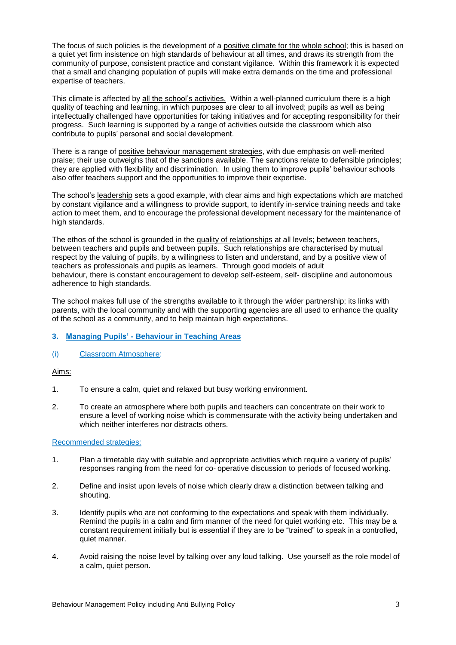The focus of such policies is the development of a positive climate for the whole school; this is based on a quiet yet firm insistence on high standards of behaviour at all times, and draws its strength from the community of purpose, consistent practice and constant vigilance. Within this framework it is expected that a small and changing population of pupils will make extra demands on the time and professional expertise of teachers.

This climate is affected by all the school's activities. Within a well-planned curriculum there is a high quality of teaching and learning, in which purposes are clear to all involved; pupils as well as being intellectually challenged have opportunities for taking initiatives and for accepting responsibility for their progress. Such learning is supported by a range of activities outside the classroom which also contribute to pupils" personal and social development.

There is a range of positive behaviour management strategies, with due emphasis on well-merited praise; their use outweighs that of the sanctions available. The sanctions relate to defensible principles; they are applied with flexibility and discrimination. In using them to improve pupils" behaviour schools also offer teachers support and the opportunities to improve their expertise.

The school"s leadership sets a good example, with clear aims and high expectations which are matched by constant vigilance and a willingness to provide support, to identify in-service training needs and take action to meet them, and to encourage the professional development necessary for the maintenance of high standards.

The ethos of the school is grounded in the quality of relationships at all levels; between teachers, between teachers and pupils and between pupils. Such relationships are characterised by mutual respect by the valuing of pupils, by a willingness to listen and understand, and by a positive view of teachers as professionals and pupils as learners. Through good models of adult behaviour, there is constant encouragement to develop self-esteem, self- discipline and autonomous adherence to high standards.

The school makes full use of the strengths available to it through the wider partnership; its links with parents, with the local community and with the supporting agencies are all used to enhance the quality of the school as a community, and to help maintain high expectations.

#### **3. Managing Pupils' - Behaviour in Teaching Areas**

(i) Classroom Atmosphere:

Aims:

- 1. To ensure a calm, quiet and relaxed but busy working environment.
- 2. To create an atmosphere where both pupils and teachers can concentrate on their work to ensure a level of working noise which is commensurate with the activity being undertaken and which neither interferes nor distracts others.

#### Recommended strategies:

- 1. Plan a timetable day with suitable and appropriate activities which require a variety of pupils" responses ranging from the need for co- operative discussion to periods of focused working.
- 2. Define and insist upon levels of noise which clearly draw a distinction between talking and shouting.
- 3. Identify pupils who are not conforming to the expectations and speak with them individually. Remind the pupils in a calm and firm manner of the need for quiet working etc. This may be a constant requirement initially but is essential if they are to be "trained" to speak in a controlled, quiet manner.
- 4. Avoid raising the noise level by talking over any loud talking. Use yourself as the role model of a calm, quiet person.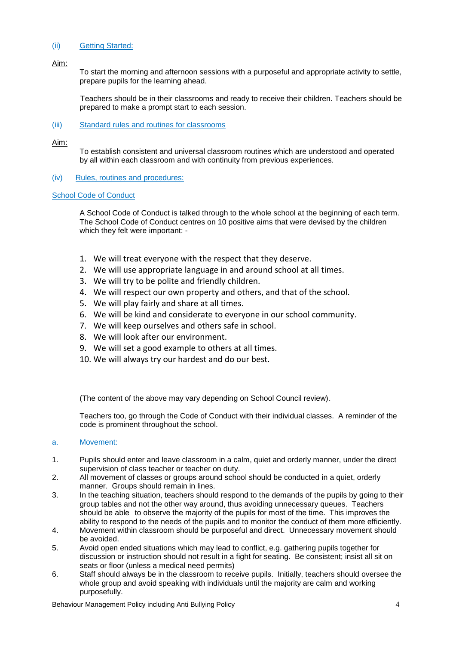#### (ii) Getting Started:

Aim:

To start the morning and afternoon sessions with a purposeful and appropriate activity to settle, prepare pupils for the learning ahead.

Teachers should be in their classrooms and ready to receive their children. Teachers should be prepared to make a prompt start to each session.

#### (iii) Standard rules and routines for classrooms

Aim:

To establish consistent and universal classroom routines which are understood and operated by all within each classroom and with continuity from previous experiences.

#### (iv) Rules, routines and procedures:

#### School Code of Conduct

A School Code of Conduct is talked through to the whole school at the beginning of each term. The School Code of Conduct centres on 10 positive aims that were devised by the children which they felt were important: -

- 1. We will treat everyone with the respect that they deserve.
- 2. We will use appropriate language in and around school at all times.
- 3. We will try to be polite and friendly children.
- 4. We will respect our own property and others, and that of the school.
- 5. We will play fairly and share at all times.
- 6. We will be kind and considerate to everyone in our school community.
- 7. We will keep ourselves and others safe in school.
- 8. We will look after our environment.
- 9. We will set a good example to others at all times.
- 10. We will always try our hardest and do our best.

(The content of the above may vary depending on School Council review).

Teachers too, go through the Code of Conduct with their individual classes. A reminder of the code is prominent throughout the school.

#### a. Movement:

- 1. Pupils should enter and leave classroom in a calm, quiet and orderly manner, under the direct supervision of class teacher or teacher on duty.
- 2. All movement of classes or groups around school should be conducted in a quiet, orderly manner. Groups should remain in lines.
- 3. In the teaching situation, teachers should respond to the demands of the pupils by going to their group tables and not the other way around, thus avoiding unnecessary queues. Teachers should be able to observe the majority of the pupils for most of the time. This improves the ability to respond to the needs of the pupils and to monitor the conduct of them more efficiently.
- 4. Movement within classroom should be purposeful and direct. Unnecessary movement should be avoided.
- 5. Avoid open ended situations which may lead to conflict, e.g. gathering pupils together for discussion or instruction should not result in a fight for seating. Be consistent; insist all sit on seats or floor (unless a medical need permits)
- 6. Staff should always be in the classroom to receive pupils. Initially, teachers should oversee the whole group and avoid speaking with individuals until the majority are calm and working purposefully.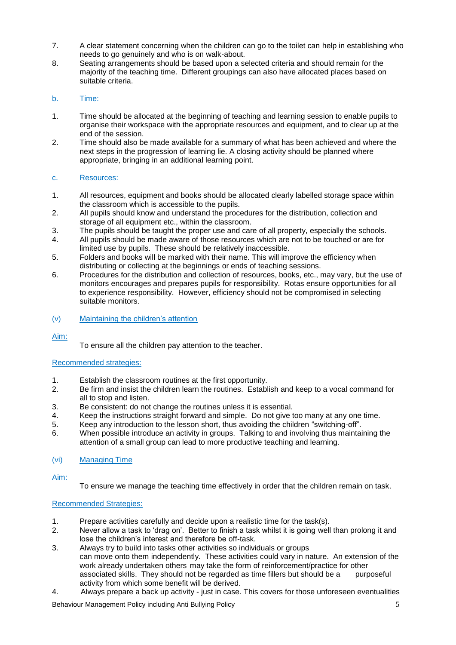- 7. A clear statement concerning when the children can go to the toilet can help in establishing who needs to go genuinely and who is on walk-about.
- 8. Seating arrangements should be based upon a selected criteria and should remain for the majority of the teaching time. Different groupings can also have allocated places based on suitable criteria.

#### b. Time:

- 1. Time should be allocated at the beginning of teaching and learning session to enable pupils to organise their workspace with the appropriate resources and equipment, and to clear up at the end of the session.
- 2. Time should also be made available for a summary of what has been achieved and where the next steps in the progression of learning lie. A closing activity should be planned where appropriate, bringing in an additional learning point.

#### c. Resources:

- 1. All resources, equipment and books should be allocated clearly labelled storage space within the classroom which is accessible to the pupils.
- 2. All pupils should know and understand the procedures for the distribution, collection and storage of all equipment etc., within the classroom.
- 3. The pupils should be taught the proper use and care of all property, especially the schools.
- 4. All pupils should be made aware of those resources which are not to be touched or are for limited use by pupils. These should be relatively inaccessible.
- 5. Folders and books will be marked with their name. This will improve the efficiency when distributing or collecting at the beginnings or ends of teaching sessions.
- 6. Procedures for the distribution and collection of resources, books, etc., may vary, but the use of monitors encourages and prepares pupils for responsibility. Rotas ensure opportunities for all to experience responsibility. However, efficiency should not be compromised in selecting suitable monitors.

#### (v) Maintaining the children"s attention

Aim:

To ensure all the children pay attention to the teacher.

#### Recommended strategies:

- 1. Establish the classroom routines at the first opportunity.
- 2. Be firm and insist the children learn the routines. Establish and keep to a vocal command for all to stop and listen.
- 3. Be consistent: do not change the routines unless it is essential.<br>4. Keep the instructions straight forward and simple. Do not give to
- 4. Keep the instructions straight forward and simple. Do not give too many at any one time.<br>5. Keep any introduction to the lesson short, thus avoiding the children "switching-off".
- 5. Keep any introduction to the lesson short, thus avoiding the children "switching-off".
- 6. When possible introduce an activity in groups. Talking to and involving thus maintaining the attention of a small group can lead to more productive teaching and learning.

#### (vi) Managing Time

Aim:

To ensure we manage the teaching time effectively in order that the children remain on task.

#### Recommended Strategies:

- 1. Prepare activities carefully and decide upon a realistic time for the task(s).
- 2. Never allow a task to "drag on". Better to finish a task whilst it is going well than prolong it and lose the children"s interest and therefore be off-task.
- 3. Always try to build into tasks other activities so individuals or groups can move onto them independently. These activities could vary in nature. An extension of the work already undertaken others may take the form of reinforcement/practice for other associated skills. They should not be regarded as time fillers but should be a purposeful activity from which some benefit will be derived.
- 4. Always prepare a back up activity just in case. This covers for those unforeseen eventualities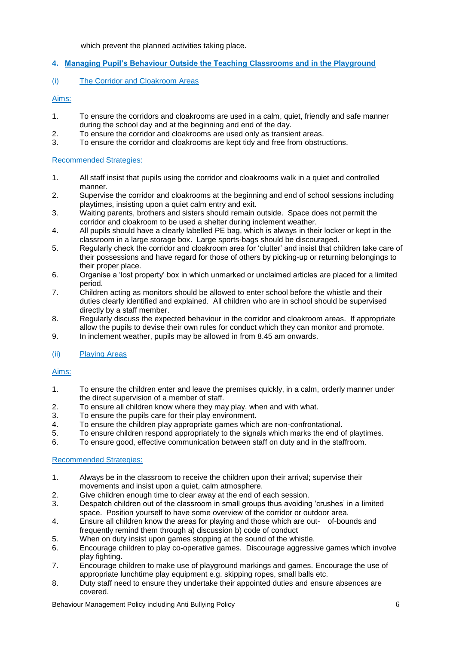which prevent the planned activities taking place.

#### **4. Managing Pupil's Behaviour Outside the Teaching Classrooms and in the Playground**

#### (i) The Corridor and Cloakroom Areas

#### Aims:

- 1. To ensure the corridors and cloakrooms are used in a calm, quiet, friendly and safe manner during the school day and at the beginning and end of the day.
- 2. To ensure the corridor and cloakrooms are used only as transient areas.<br>3. To ensure the corridor and cloakrooms are kept tidy and free from obstru
- 3. To ensure the corridor and cloakrooms are kept tidy and free from obstructions.

#### Recommended Strategies:

- 1. All staff insist that pupils using the corridor and cloakrooms walk in a quiet and controlled manner.
- 2. Supervise the corridor and cloakrooms at the beginning and end of school sessions including playtimes, insisting upon a quiet calm entry and exit.
- 3. Waiting parents, brothers and sisters should remain outside. Space does not permit the corridor and cloakroom to be used a shelter during inclement weather.
- 4. All pupils should have a clearly labelled PE bag, which is always in their locker or kept in the classroom in a large storage box. Large sports-bags should be discouraged.
- 5. Regularly check the corridor and cloakroom area for "clutter" and insist that children take care of their possessions and have regard for those of others by picking-up or returning belongings to their proper place.
- 6. Organise a "lost property" box in which unmarked or unclaimed articles are placed for a limited period.
- 7. Children acting as monitors should be allowed to enter school before the whistle and their duties clearly identified and explained. All children who are in school should be supervised directly by a staff member.
- 8. Regularly discuss the expected behaviour in the corridor and cloakroom areas. If appropriate allow the pupils to devise their own rules for conduct which they can monitor and promote.
- 9. In inclement weather, pupils may be allowed in from 8.45 am onwards.

#### (ii) Playing Areas

#### Aims:

- 1. To ensure the children enter and leave the premises quickly, in a calm, orderly manner under the direct supervision of a member of staff.
- 2. To ensure all children know where they may play, when and with what.<br>3. To ensure the pupils care for their play environment.
- 3. To ensure the pupils care for their play environment.<br>4. To ensure the children play appropriate games which
- 4. To ensure the children play appropriate games which are non-confrontational.<br>5. To ensure children respond appropriately to the signals which marks the end of
- 5. To ensure children respond appropriately to the signals which marks the end of playtimes.
- 6. To ensure good, effective communication between staff on duty and in the staffroom.

#### Recommended Strategies:

- 1. Always be in the classroom to receive the children upon their arrival; supervise their movements and insist upon a quiet, calm atmosphere.
- 2. Give children enough time to clear away at the end of each session.
- 3. Despatch children out of the classroom in small groups thus avoiding "crushes" in a limited space. Position yourself to have some overview of the corridor or outdoor area.
- 4. Ensure all children know the areas for playing and those which are out- of-bounds and frequently remind them through a) discussion b) code of conduct
- 5. When on duty insist upon games stopping at the sound of the whistle.
- 6. Encourage children to play co-operative games. Discourage aggressive games which involve play fighting.
- 7. Encourage children to make use of playground markings and games. Encourage the use of appropriate lunchtime play equipment e.g. skipping ropes, small balls etc.
- 8. Duty staff need to ensure they undertake their appointed duties and ensure absences are covered.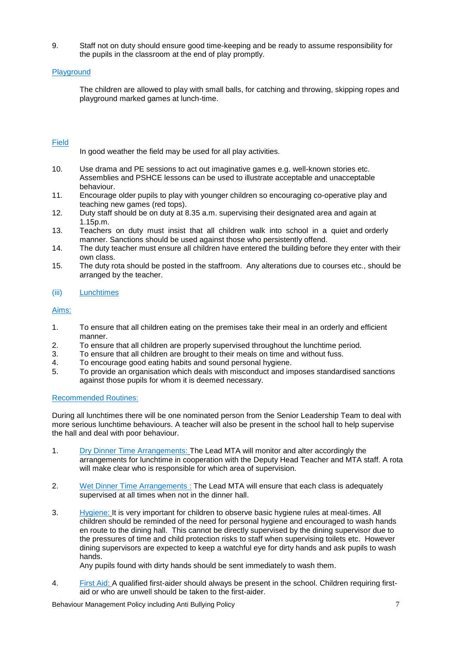9. Staff not on duty should ensure good time-keeping and be ready to assume responsibility for the pupils in the classroom at the end of play promptly.

#### Playground

The children are allowed to play with small balls, for catching and throwing, skipping ropes and playground marked games at lunch-time.

#### Field

In good weather the field may be used for all play activities.

- 10. Use drama and PE sessions to act out imaginative games e.g. well-known stories etc. Assemblies and PSHCE lessons can be used to illustrate acceptable and unacceptable behaviour.
- 11. Encourage older pupils to play with younger children so encouraging co-operative play and teaching new games (red tops).
- 12. Duty staff should be on duty at 8.35 a.m. supervising their designated area and again at 1.15p.m.
- 13. Teachers on duty must insist that all children walk into school in a quiet and orderly manner. Sanctions should be used against those who persistently offend.
- 14. The duty teacher must ensure all children have entered the building before they enter with their own class.
- 15. The duty rota should be posted in the staffroom. Any alterations due to courses etc., should be arranged by the teacher.

#### (iii) Lunchtimes

#### Aims:

- 1. To ensure that all children eating on the premises take their meal in an orderly and efficient manner.
- 2. To ensure that all children are properly supervised throughout the lunchtime period.
- 3. To ensure that all children are brought to their meals on time and without fuss.
- 4. To encourage good eating habits and sound personal hygiene.
- 5. To provide an organisation which deals with misconduct and imposes standardised sanctions against those pupils for whom it is deemed necessary.

#### Recommended Routines:

During all lunchtimes there will be one nominated person from the Senior Leadership Team to deal with more serious lunchtime behaviours. A teacher will also be present in the school hall to help supervise the hall and deal with poor behaviour.

- 1. Dry Dinner Time Arrangements: The Lead MTA will monitor and alter accordingly the arrangements for lunchtime in cooperation with the Deputy Head Teacher and MTA staff. A rota will make clear who is responsible for which area of supervision.
- 2. Wet Dinner Time Arrangements : The Lead MTA will ensure that each class is adequately supervised at all times when not in the dinner hall.
- 3. Hygiene: It is very important for children to observe basic hygiene rules at meal-times. All children should be reminded of the need for personal hygiene and encouraged to wash hands en route to the dining hall. This cannot be directly supervised by the dining supervisor due to the pressures of time and child protection risks to staff when supervising toilets etc. However dining supervisors are expected to keep a watchful eye for dirty hands and ask pupils to wash hands.

Any pupils found with dirty hands should be sent immediately to wash them.

4. First Aid: A qualified first-aider should always be present in the school. Children requiring firstaid or who are unwell should be taken to the first-aider.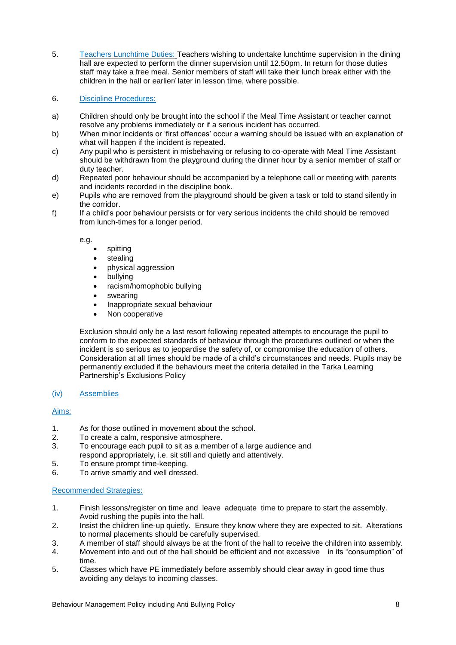- 5. Teachers Lunchtime Duties: Teachers wishing to undertake lunchtime supervision in the dining hall are expected to perform the dinner supervision until 12.50pm. In return for those duties staff may take a free meal. Senior members of staff will take their lunch break either with the children in the hall or earlier/ later in lesson time, where possible.
- 6. Discipline Procedures:
- a) Children should only be brought into the school if the Meal Time Assistant or teacher cannot resolve any problems immediately or if a serious incident has occurred.
- b) When minor incidents or "first offences" occur a warning should be issued with an explanation of what will happen if the incident is repeated.
- c) Any pupil who is persistent in misbehaving or refusing to co-operate with Meal Time Assistant should be withdrawn from the playground during the dinner hour by a senior member of staff or duty teacher.
- d) Repeated poor behaviour should be accompanied by a telephone call or meeting with parents and incidents recorded in the discipline book.
- e) Pupils who are removed from the playground should be given a task or told to stand silently in the corridor.
- f) If a child"s poor behaviour persists or for very serious incidents the child should be removed from lunch-times for a longer period.

e.g.

- spitting
- stealing
- physical aggression
- bullying
- racism/homophobic bullying
- swearing
- Inappropriate sexual behaviour
- Non cooperative

Exclusion should only be a last resort following repeated attempts to encourage the pupil to conform to the expected standards of behaviour through the procedures outlined or when the incident is so serious as to jeopardise the safety of, or compromise the education of others. Consideration at all times should be made of a child"s circumstances and needs. Pupils may be permanently excluded if the behaviours meet the criteria detailed in the Tarka Learning Partnership"s Exclusions Policy

#### (iv) Assemblies

#### Aims:

- 1. As for those outlined in movement about the school.
- 2. To create a calm, responsive atmosphere.
- 3. To encourage each pupil to sit as a member of a large audience and respond appropriately, i.e. sit still and quietly and attentively.
- 5. To ensure prompt time-keeping.
- 6. To arrive smartly and well dressed.

#### Recommended Strategies:

- 1. Finish lessons/register on time and leave adequate time to prepare to start the assembly. Avoid rushing the pupils into the hall.
- 2. Insist the children line-up quietly. Ensure they know where they are expected to sit. Alterations to normal placements should be carefully supervised.
- 3. A member of staff should always be at the front of the hall to receive the children into assembly.
- 4. Movement into and out of the hall should be efficient and not excessive in its "consumption" of time.
- 5. Classes which have PE immediately before assembly should clear away in good time thus avoiding any delays to incoming classes.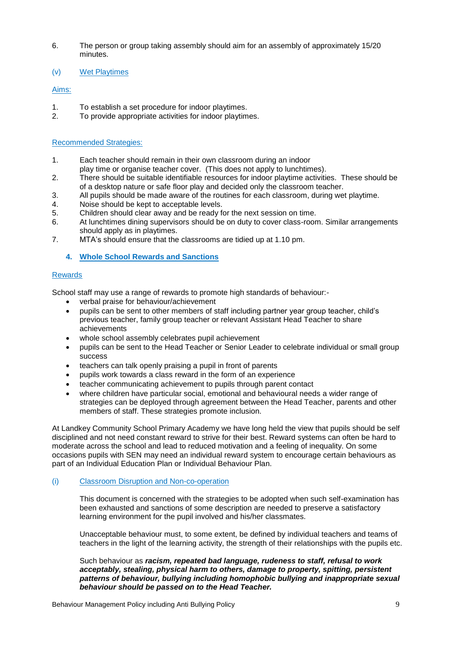- 6. The person or group taking assembly should aim for an assembly of approximately 15/20 minutes.
- (v) Wet Playtimes

#### Aims:

- 1. To establish a set procedure for indoor playtimes.<br>2. To provide appropriate activities for indoor playtim
- To provide appropriate activities for indoor playtimes.

#### Recommended Strategies:

- 1. Each teacher should remain in their own classroom during an indoor
- play time or organise teacher cover. (This does not apply to lunchtimes).
- 2. There should be suitable identifiable resources for indoor playtime activities. These should be of a desktop nature or safe floor play and decided only the classroom teacher.
- 3. All pupils should be made aware of the routines for each classroom, during wet playtime.
- 4. Noise should be kept to acceptable levels.
- 5. Children should clear away and be ready for the next session on time.
- 6. At lunchtimes dining supervisors should be on duty to cover class-room. Similar arrangements should apply as in playtimes.
- 7. MTA"s should ensure that the classrooms are tidied up at 1.10 pm.

**4. Whole School Rewards and Sanctions**

#### Rewards

School staff may use a range of rewards to promote high standards of behaviour:-

- verbal praise for behaviour/achievement
- pupils can be sent to other members of staff including partner year group teacher, child"s previous teacher, family group teacher or relevant Assistant Head Teacher to share achievements
- whole school assembly celebrates pupil achievement
- pupils can be sent to the Head Teacher or Senior Leader to celebrate individual or small group success
- teachers can talk openly praising a pupil in front of parents
- pupils work towards a class reward in the form of an experience
- teacher communicating achievement to pupils through parent contact
- where children have particular social, emotional and behavioural needs a wider range of strategies can be deployed through agreement between the Head Teacher, parents and other members of staff. These strategies promote inclusion.

At Landkey Community School Primary Academy we have long held the view that pupils should be self disciplined and not need constant reward to strive for their best. Reward systems can often be hard to moderate across the school and lead to reduced motivation and a feeling of inequality. On some occasions pupils with SEN may need an individual reward system to encourage certain behaviours as part of an Individual Education Plan or Individual Behaviour Plan.

#### (i) Classroom Disruption and Non-co-operation

This document is concerned with the strategies to be adopted when such self-examination has been exhausted and sanctions of some description are needed to preserve a satisfactory learning environment for the pupil involved and his/her classmates.

Unacceptable behaviour must, to some extent, be defined by individual teachers and teams of teachers in the light of the learning activity, the strength of their relationships with the pupils etc.

Such behaviour as *racism, repeated bad language, rudeness to staff, refusal to work acceptably, stealing, physical harm to others, damage to property, spitting, persistent patterns of behaviour, bullying including homophobic bullying and inappropriate sexual behaviour should be passed on to the Head Teacher.*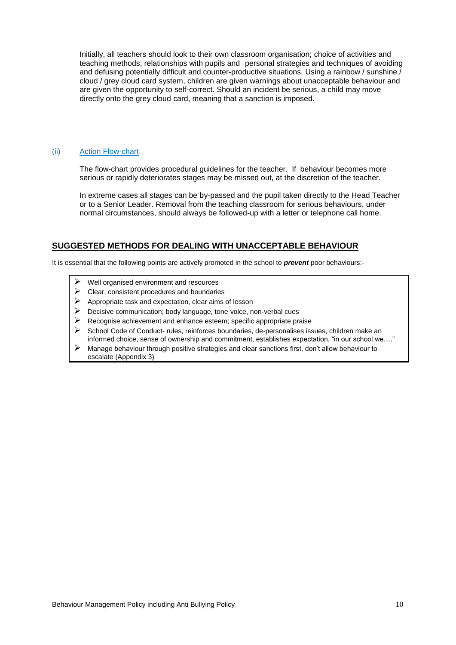Initially, all teachers should look to their own classroom organisation; choice of activities and teaching methods; relationships with pupils and personal strategies and techniques of avoiding and defusing potentially difficult and counter-productive situations. Using a rainbow / sunshine  $\overline{\prime}$ cloud / grey cloud card system, children are given warnings about unacceptable behaviour and are given the opportunity to self-correct. Should an incident be serious, a child may move directly onto the grey cloud card, meaning that a sanction is imposed.

#### (ii) Action Flow-chart

The flow-chart provides procedural guidelines for the teacher. If behaviour becomes more serious or rapidly deteriorates stages may be missed out, at the discretion of the teacher.

In extreme cases all stages can be by-passed and the pupil taken directly to the Head Teacher or to a Senior Leader. Removal from the teaching classroom for serious behaviours, under normal circumstances, should always be followed-up with a letter or telephone call home.

#### **SUGGESTED METHODS FOR DEALING WITH UNACCEPTABLE BEHAVIOUR**

It is essential that the following points are actively promoted in the school to *prevent* poor behaviours:-

- Well organised environment and resources
- Clear, consistent procedures and boundaries
- $\triangleright$  Appropriate task and expectation, clear aims of lesson
- Decisive communication; body language, tone voice, non-verbal cues
- $\triangleright$  Recognise achievement and enhance esteem; specific appropriate praise
- School Code of Conduct- rules, reinforces boundaries, de-personalises issues, children make an informed choice, sense of ownership and commitment, establishes expectation, "in our school we…."
- Manage behaviour through positive strategies and clear sanctions first, don"t allow behaviour to escalate (Appendix 3)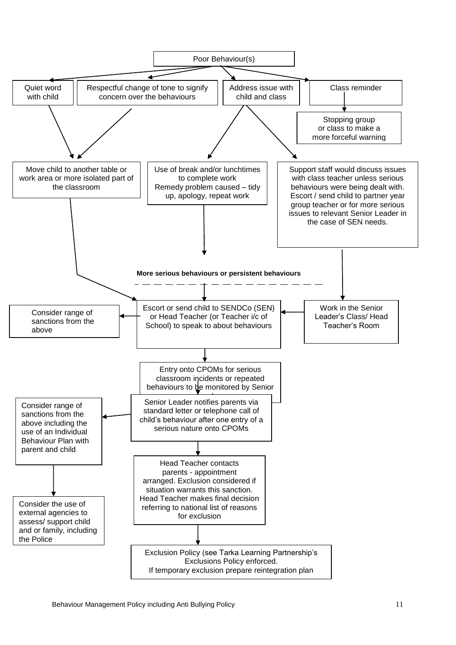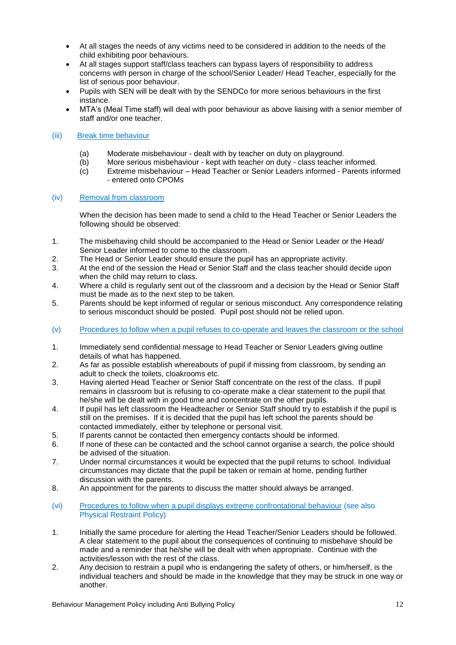- At all stages the needs of any victims need to be considered in addition to the needs of the child exhibiting poor behaviours.
- At all stages support staff/class teachers can bypass layers of responsibility to address concerns with person in charge of the school/Senior Leader/ Head Teacher, especially for the list of serious poor behaviour.
- Pupils with SEN will be dealt with by the SENDCo for more serious behaviours in the first instance.
- MTA"s (Meal Time staff) will deal with poor behaviour as above liaising with a senior member of staff and/or one teacher.

#### (iii) Break time behaviour

- (a) Moderate misbehaviour dealt with by teacher on duty on playground.<br>(b) More serious misbehaviour kept with teacher on duty class teacher
- More serious misbehaviour kept with teacher on duty class teacher informed.
- (c) Extreme misbehaviour Head Teacher or Senior Leaders informed Parents informed - entered onto CPOMs

#### (iv) Removal from classroom

When the decision has been made to send a child to the Head Teacher or Senior Leaders the following should be observed:

- 1. The misbehaving child should be accompanied to the Head or Senior Leader or the Head/ Senior Leader informed to come to the classroom.
- 2. The Head or Senior Leader should ensure the pupil has an appropriate activity.
- 3. At the end of the session the Head or Senior Staff and the class teacher should decide upon when the child may return to class.
- 4. Where a child is regularly sent out of the classroom and a decision by the Head or Senior Staff must be made as to the next step to be taken.
- 5. Parents should be kept informed of regular or serious misconduct. Any correspondence relating to serious misconduct should be posted. Pupil post should not be relied upon.
- (v) Procedures to follow when a pupil refuses to co-operate and leaves the classroom or the school
- 1. Immediately send confidential message to Head Teacher or Senior Leaders giving outline details of what has happened.
- 2. As far as possible establish whereabouts of pupil if missing from classroom, by sending an adult to check the toilets, cloakrooms etc.
- 3. Having alerted Head Teacher or Senior Staff concentrate on the rest of the class. If pupil remains in classroom but is refusing to co-operate make a clear statement to the pupil that he/she will be dealt with in good time and concentrate on the other pupils.
- 4. If pupil has left classroom the Headteacher or Senior Staff should try to establish if the pupil is still on the premises. If it is decided that the pupil has left school the parents should be contacted immediately, either by telephone or personal visit.
- 5. If parents cannot be contacted then emergency contacts should be informed.
- 6. If none of these can be contacted and the school cannot organise a search, the police should be advised of the situation.
- 7. Under normal circumstances it would be expected that the pupil returns to school. Individual circumstances may dictate that the pupil be taken or remain at home, pending further discussion with the parents.
- 8. An appointment for the parents to discuss the matter should always be arranged.
- (vi) Procedures to follow when a pupil displays extreme confrontational behaviour (see also Physical Restraint Policy)
- 1. Initially the same procedure for alerting the Head Teacher/Senior Leaders should be followed. A clear statement to the pupil about the consequences of continuing to misbehave should be made and a reminder that he/she will be dealt with when appropriate. Continue with the activities/lesson with the rest of the class.
- 2. Any decision to restrain a pupil who is endangering the safety of others, or him/herself, is the individual teachers and should be made in the knowledge that they may be struck in one way or another.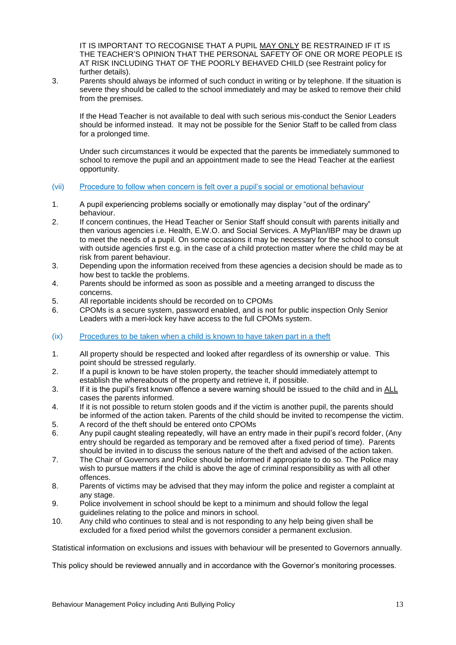IT IS IMPORTANT TO RECOGNISE THAT A PUPIL MAY ONLY BE RESTRAINED IF IT IS THE TEACHER"S OPINION THAT THE PERSONAL SAFETY OF ONE OR MORE PEOPLE IS AT RISK INCLUDING THAT OF THE POORLY BEHAVED CHILD (see Restraint policy for further details).

3. Parents should always be informed of such conduct in writing or by telephone. If the situation is severe they should be called to the school immediately and may be asked to remove their child from the premises.

If the Head Teacher is not available to deal with such serious mis-conduct the Senior Leaders should be informed instead. It may not be possible for the Senior Staff to be called from class for a prolonged time.

Under such circumstances it would be expected that the parents be immediately summoned to school to remove the pupil and an appointment made to see the Head Teacher at the earliest opportunity.

#### (vii) Procedure to follow when concern is felt over a pupil"s social or emotional behaviour

- 1. A pupil experiencing problems socially or emotionally may display "out of the ordinary" behaviour.
- 2. If concern continues, the Head Teacher or Senior Staff should consult with parents initially and then various agencies i.e. Health, E.W.O. and Social Services. A MyPlan/IBP may be drawn up to meet the needs of a pupil. On some occasions it may be necessary for the school to consult with outside agencies first e.g. in the case of a child protection matter where the child may be at risk from parent behaviour.
- 3. Depending upon the information received from these agencies a decision should be made as to how best to tackle the problems.
- 4. Parents should be informed as soon as possible and a meeting arranged to discuss the concerns.
- 5. All reportable incidents should be recorded on to CPOMs
- 6. CPOMs is a secure system, password enabled, and is not for public inspection Only Senior Leaders with a meri-lock key have access to the full CPOMs system.
- (ix) Procedures to be taken when a child is known to have taken part in a theft
- 1. All property should be respected and looked after regardless of its ownership or value. This point should be stressed regularly.
- 2. If a pupil is known to be have stolen property, the teacher should immediately attempt to establish the whereabouts of the property and retrieve it, if possible.
- 3. If it is the pupil"s first known offence a severe warning should be issued to the child and in ALL cases the parents informed.
- 4. If it is not possible to return stolen goods and if the victim is another pupil, the parents should be informed of the action taken. Parents of the child should be invited to recompense the victim.
- 5. A record of the theft should be entered onto CPOMs
- 6. Any pupil caught stealing repeatedly, will have an entry made in their pupil"s record folder, (Any entry should be regarded as temporary and be removed after a fixed period of time). Parents should be invited in to discuss the serious nature of the theft and advised of the action taken.
- 7. The Chair of Governors and Police should be informed if appropriate to do so. The Police may wish to pursue matters if the child is above the age of criminal responsibility as with all other offences.
- 8. Parents of victims may be advised that they may inform the police and register a complaint at any stage.
- 9. Police involvement in school should be kept to a minimum and should follow the legal guidelines relating to the police and minors in school.
- 10. Any child who continues to steal and is not responding to any help being given shall be excluded for a fixed period whilst the governors consider a permanent exclusion.

Statistical information on exclusions and issues with behaviour will be presented to Governors annually.

This policy should be reviewed annually and in accordance with the Governor's monitoring processes.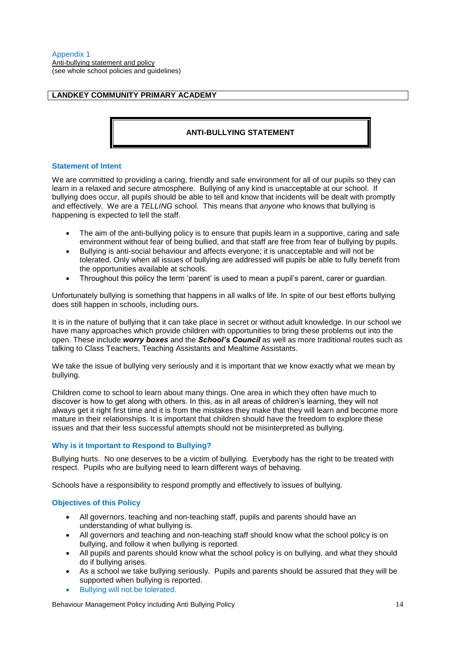Anti-bullying statement and policy (see whole school policies and guidelines)

#### **LANDKEY COMMUNITY PRIMARY ACADEMY**

#### **ANTI-BULLYING STATEMENT**

#### **Statement of Intent**

We are committed to providing a caring, friendly and safe environment for all of our pupils so they can learn in a relaxed and secure atmosphere. Bullying of any kind is unacceptable at our school. If bullying does occur, all pupils should be able to tell and know that incidents will be dealt with promptly and effectively. We are a *TELLING* school. This means that *anyone* who knows that bullying is happening is expected to tell the staff.

- The aim of the anti-bullying policy is to ensure that pupils learn in a supportive, caring and safe environment without fear of being bullied, and that staff are free from fear of bullying by pupils.
- Bullying is anti-social behaviour and affects everyone; it is unacceptable and will not be tolerated. Only when all issues of bullying are addressed will pupils be able to fully benefit from the opportunities available at schools.
- Throughout this policy the term "parent" is used to mean a pupil"s parent, carer or guardian.

Unfortunately bullying is something that happens in all walks of life. In spite of our best efforts bullying does still happen in schools, including ours.

It is in the nature of bullying that it can take place in secret or without adult knowledge. In our school we have many approaches which provide children with opportunities to bring these problems out into the open. These include *worry boxes* and the *School's Council* as well as more traditional routes such as talking to Class Teachers, Teaching Assistants and Mealtime Assistants.

We take the issue of bullying very seriously and it is important that we know exactly what we mean by bullying.

Children come to school to learn about many things. One area in which they often have much to discover is how to get along with others. In this, as in all areas of children"s learning, they will not always get it right first time and it is from the mistakes they make that they will learn and become more mature in their relationships. It is important that children should have the freedom to explore these issues and that their less successful attempts should not be misinterpreted as bullying.

#### **Why is it Important to Respond to Bullying?**

Bullying hurts. No one deserves to be a victim of bullying. Everybody has the right to be treated with respect. Pupils who are bullying need to learn different ways of behaving.

Schools have a responsibility to respond promptly and effectively to issues of bullying.

#### **Objectives of this Policy**

- All governors, teaching and non-teaching staff, pupils and parents should have an understanding of what bullying is.
- All governors and teaching and non-teaching staff should know what the school policy is on bullying, and follow it when bullying is reported.
- All pupils and parents should know what the school policy is on bullying, and what they should do if bullying arises.
- As a school we take bullying seriously. Pupils and parents should be assured that they will be supported when bullying is reported.
- Bullying will not be tolerated.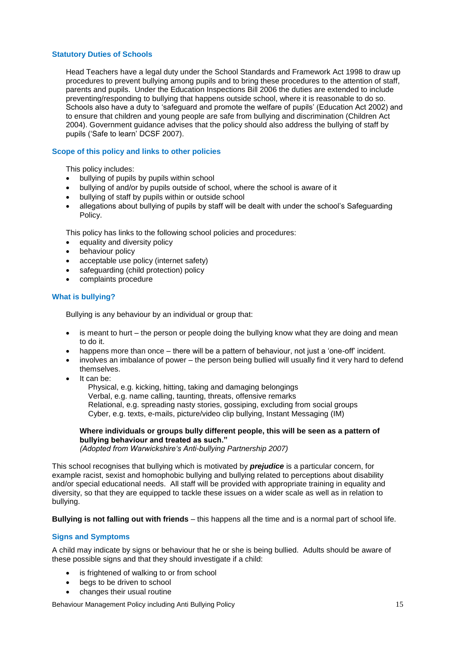#### **Statutory Duties of Schools**

Head Teachers have a legal duty under the School Standards and Framework Act 1998 to draw up procedures to prevent bullying among pupils and to bring these procedures to the attention of staff, parents and pupils. Under the Education Inspections Bill 2006 the duties are extended to include preventing/responding to bullying that happens outside school, where it is reasonable to do so. Schools also have a duty to 'safeguard and promote the welfare of pupils' (Education Act 2002) and to ensure that children and young people are safe from bullying and discrimination (Children Act 2004). Government guidance advises that the policy should also address the bullying of staff by pupils ("Safe to learn" DCSF 2007).

#### **Scope of this policy and links to other policies**

This policy includes:

- bullying of pupils by pupils within school
- bullying of and/or by pupils outside of school, where the school is aware of it
- bullying of staff by pupils within or outside school
- allegations about bullying of pupils by staff will be dealt with under the school"s Safeguarding Policy.

This policy has links to the following school policies and procedures:

- equality and diversity policy
- behaviour policy
- acceptable use policy (internet safety)
- safeguarding (child protection) policy
- complaints procedure

#### **What is bullying?**

Bullying is any behaviour by an individual or group that:

- $\bullet$  is meant to hurt the person or people doing the bullying know what they are doing and mean to do it.
- happens more than once there will be a pattern of behaviour, not just a 'one-off' incident.
- involves an imbalance of power the person being bullied will usually find it very hard to defend themselves.
- It can be:

 Physical, e.g. kicking, hitting, taking and damaging belongings Verbal, e.g. name calling, taunting, threats, offensive remarks Relational, e.g. spreading nasty stories, gossiping, excluding from social groups Cyber, e.g. texts, e-mails, picture/video clip bullying, Instant Messaging (IM)

#### **Where individuals or groups bully different people, this will be seen as a pattern of bullying behaviour and treated as such."**

*(Adopted from Warwickshire's Anti-bullying Partnership 2007)*

This school recognises that bullying which is motivated by *prejudice* is a particular concern, for example racist, sexist and homophobic bullying and bullying related to perceptions about disability and/or special educational needs. All staff will be provided with appropriate training in equality and diversity, so that they are equipped to tackle these issues on a wider scale as well as in relation to bullying.

**Bullying is not falling out with friends** – this happens all the time and is a normal part of school life.

#### **Signs and Symptoms**

A child may indicate by signs or behaviour that he or she is being bullied. Adults should be aware of these possible signs and that they should investigate if a child:

- is frightened of walking to or from school
- begs to be driven to school
- changes their usual routine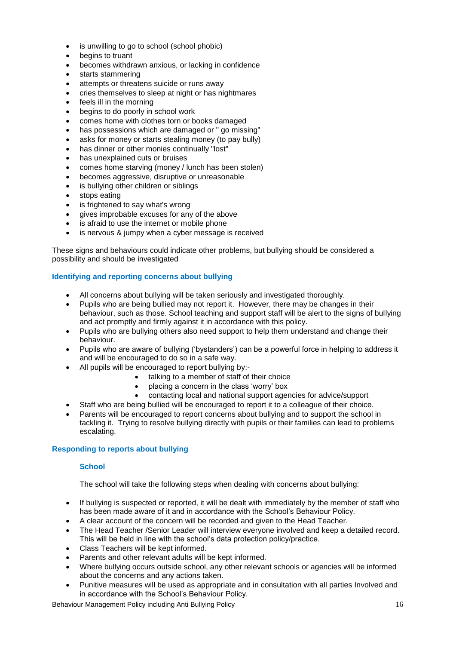- is unwilling to go to school (school phobic)
- begins to truant
- becomes withdrawn anxious, or lacking in confidence
- starts stammering
- attempts or threatens suicide or runs away
- cries themselves to sleep at night or has nightmares
- feels ill in the morning
- begins to do poorly in school work
- comes home with clothes torn or books damaged
- has possessions which are damaged or " go missing"
- asks for money or starts stealing money (to pay bully)
- has dinner or other monies continually "lost"
- has unexplained cuts or bruises
- comes home starving (money / lunch has been stolen)
- becomes aggressive, disruptive or unreasonable
- is bullying other children or siblings
- stops eating
- is frightened to say what's wrong
- gives improbable excuses for any of the above
- is afraid to use the internet or mobile phone
- is nervous & jumpy when a cyber message is received

These signs and behaviours could indicate other problems, but bullying should be considered a possibility and should be investigated

#### **Identifying and reporting concerns about bullying**

- All concerns about bullying will be taken seriously and investigated thoroughly.
- Pupils who are being bullied may not report it. However, there may be changes in their behaviour, such as those. School teaching and support staff will be alert to the signs of bullying and act promptly and firmly against it in accordance with this policy.
- Pupils who are bullying others also need support to help them understand and change their behaviour.
- Pupils who are aware of bullying ("bystanders") can be a powerful force in helping to address it and will be encouraged to do so in a safe way.
- All pupils will be encouraged to report bullying by:-
	- talking to a member of staff of their choice
	- placing a concern in the class "worry" box
	- contacting local and national support agencies for advice/support
- Staff who are being bullied will be encouraged to report it to a colleague of their choice.
- Parents will be encouraged to report concerns about bullying and to support the school in tackling it. Trying to resolve bullying directly with pupils or their families can lead to problems escalating.

#### **Responding to reports about bullying**

#### **School**

The school will take the following steps when dealing with concerns about bullying:

- If bullying is suspected or reported, it will be dealt with immediately by the member of staff who has been made aware of it and in accordance with the School"s Behaviour Policy.
- A clear account of the concern will be recorded and given to the Head Teacher.
- The Head Teacher /Senior Leader will interview everyone involved and keep a detailed record. This will be held in line with the school"s data protection policy/practice.
- Class Teachers will be kept informed.
- Parents and other relevant adults will be kept informed.
- Where bullying occurs outside school, any other relevant schools or agencies will be informed about the concerns and any actions taken.
- Punitive measures will be used as appropriate and in consultation with all parties Involved and in accordance with the School"s Behaviour Policy.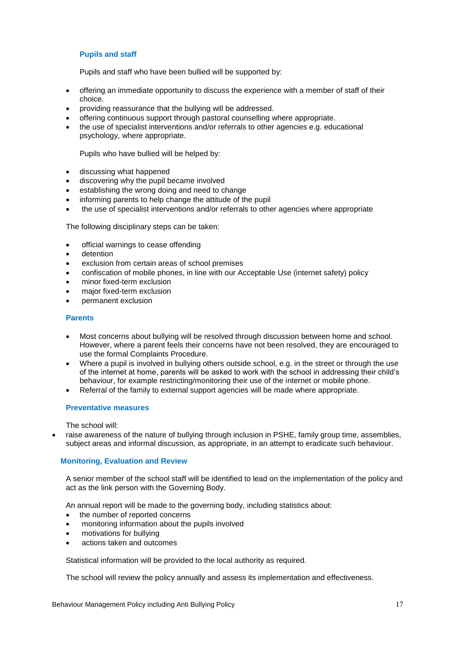#### **Pupils and staff**

Pupils and staff who have been bullied will be supported by:

- offering an immediate opportunity to discuss the experience with a member of staff of their choice.
- providing reassurance that the bullying will be addressed.
- offering continuous support through pastoral counselling where appropriate.
- the use of specialist interventions and/or referrals to other agencies e.g. educational psychology, where appropriate.

Pupils who have bullied will be helped by:

- discussing what happened
- discovering why the pupil became involved
- establishing the wrong doing and need to change
- informing parents to help change the attitude of the pupil
- the use of specialist interventions and/or referrals to other agencies where appropriate

The following disciplinary steps can be taken:

- official warnings to cease offending
- detention
- exclusion from certain areas of school premises
- confiscation of mobile phones, in line with our Acceptable Use (internet safety) policy
- minor fixed-term exclusion
- major fixed-term exclusion
- permanent exclusion

#### **Parents**

- Most concerns about bullying will be resolved through discussion between home and school. However, where a parent feels their concerns have not been resolved, they are encouraged to use the formal Complaints Procedure.
- Where a pupil is involved in bullying others outside school, e.g. in the street or through the use of the internet at home, parents will be asked to work with the school in addressing their child"s behaviour, for example restricting/monitoring their use of the internet or mobile phone.
- Referral of the family to external support agencies will be made where appropriate.

#### **Preventative measures**

The school will:

 raise awareness of the nature of bullying through inclusion in PSHE, family group time, assemblies, subject areas and informal discussion, as appropriate, in an attempt to eradicate such behaviour.

#### **Monitoring, Evaluation and Review**

A senior member of the school staff will be identified to lead on the implementation of the policy and act as the link person with the Governing Body.

An annual report will be made to the governing body, including statistics about:

- the number of reported concerns
- monitoring information about the pupils involved
- motivations for bullying
- actions taken and outcomes

Statistical information will be provided to the local authority as required.

The school will review the policy annually and assess its implementation and effectiveness.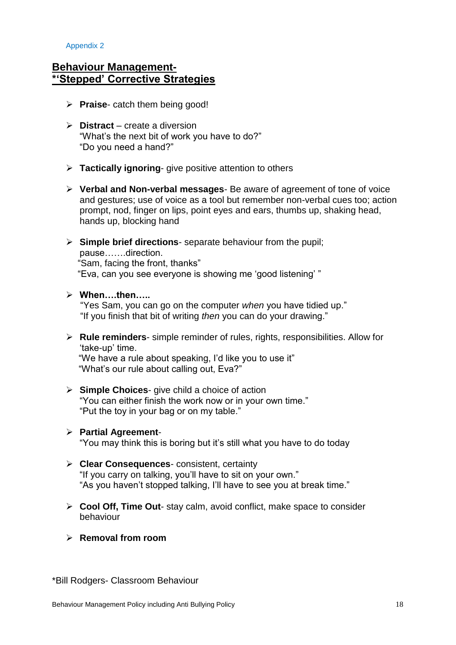Appendix 2

### **Behaviour Management- \*'Stepped' Corrective Strategies**

- **Praise** catch them being good!
- **Distract** create a diversion "What"s the next bit of work you have to do?" "Do you need a hand?"
- **Tactically ignoring** give positive attention to others
- **Verbal and Non-verbal messages** Be aware of agreement of tone of voice and gestures; use of voice as a tool but remember non-verbal cues too; action prompt, nod, finger on lips, point eyes and ears, thumbs up, shaking head, hands up, blocking hand
- **Simple brief directions** separate behaviour from the pupil; pause…….direction. "Sam, facing the front, thanks" "Eva, can you see everyone is showing me "good listening" "
- **When….then…..**

 "Yes Sam, you can go on the computer *when* you have tidied up." "If you finish that bit of writing *then* you can do your drawing."

 **Rule reminders**- simple reminder of rules, rights, responsibilities. Allow for 'take-up' time.

 "We have a rule about speaking, I"d like you to use it" "What"s our rule about calling out, Eva?"

 **Simple Choices**- give child a choice of action "You can either finish the work now or in your own time." "Put the toy in your bag or on my table."

#### **Partial Agreement**- "You may think this is boring but it"s still what you have to do today

 **Clear Consequences**- consistent, certainty "If you carry on talking, you"ll have to sit on your own."

"As you haven"t stopped talking, I"ll have to see you at break time."

- **Cool Off, Time Out** stay calm, avoid conflict, make space to consider behaviour
- **Removal from room**

\*Bill Rodgers- Classroom Behaviour